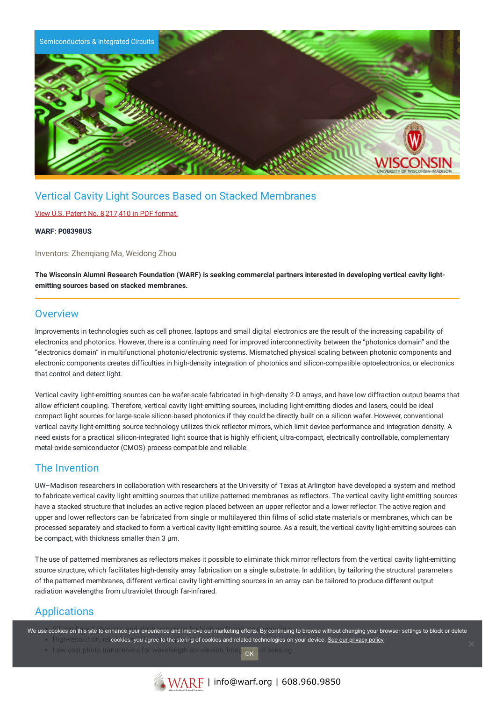

# Vertical Cavity Light Sources Based on Stacked Membranes

### View U.S. Patent No. [8,217,410](https://www.warf.org/wp-content/uploads/technologies/ipstatus/P08398US.PDF) in PDF format.

#### **WARF: P08398US**

Inventors: Zhenqiang Ma, Weidong Zhou

The Wisconsin Alumni Research Foundation (WARF) is seeking commercial partners interested in developing vertical cavity light**emitting sources based on stacked membranes.**

### **Overview**

Improvements in technologies such as cell phones, laptops and small digital electronics are the result of the increasing capability of electronics and photonics. However, there is a continuing need for improved interconnectivity between the "photonics domain" and the "electronics domain" in multifunctional photonic/electronic systems. Mismatched physical scaling between photonic components and electronic components creates difficulties in high-density integration of photonics and silicon-compatible optoelectronics, or electronics that control and detect light.

Vertical cavity light-emitting sources can be wafer-scale fabricated in high-density 2-D arrays, and have low diffraction output beams that allow efficient coupling. Therefore, vertical cavity light-emitting sources, including light-emitting diodes and lasers, could be ideal compact light sources for large-scale silicon-based photonics if they could be directly built on a silicon wafer. However, conventional vertical cavity light-emitting source technology utilizes thick reflector mirrors, which limit device performance and integration density. A need exists for a practical silicon-integrated light source that is highly efficient, ultra-compact, electrically controllable, complementary metal-oxide-semiconductor (CMOS) process-compatible and reliable.

## The Invention

UW–Madison researchers in collaboration with researchers at the University of Texas at Arlington have developed a system and method to fabricate vertical cavity light-emitting sources that utilize patterned membranes as reflectors. The vertical cavity light-emitting sources have a stacked structure that includes an active region placed between an upper reflector and a lower reflector. The active region and upper and lower reflectors can be fabricated from single or multilayered thin films of solid state materials or membranes, which can be processed separately and stacked to form a vertical cavity light-emitting source. As a result, the vertical cavity light-emitting sources can be compact, with thickness smaller than 3 µm.

The use of patterned membranes as reflectors makes it possible to eliminate thick mirror reflectors from the vertical cavity light-emitting source structure, which facilitates high-density array fabrication on a single substrate. In addition, by tailoring the structural parameters of the patterned membranes, different vertical cavity light-emitting sources in an array can be tailored to produce different output radiation wavelengths from ultraviolet through far-infrared.

# Applications

We use cookies on this site to enhance your experience and improve our marketing efforts. By continuing to browse without changing your browser settings to block or delete High-resolution, cookies, you agree to the storing of cookies and related technologies on your device. [See our privacy policy](https://www.warf.org/privacy-policy/)

 $\bullet$  Low cost photo transceivers for wavelength conv  $\alpha$